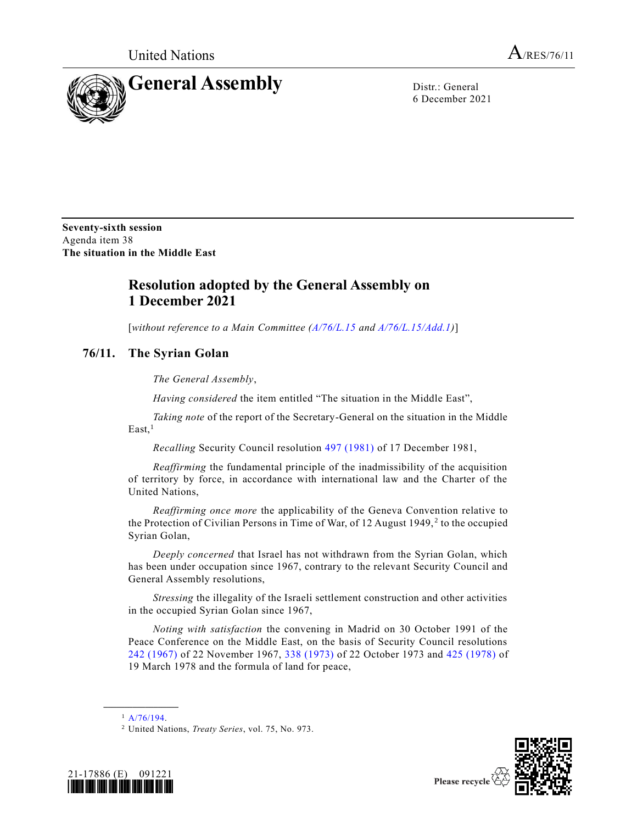

6 December 2021

**Seventy-sixth session** Agenda item 38 **The situation in the Middle East**

## **Resolution adopted by the General Assembly on 1 December 2021**

[*without reference to a Main Committee [\(A/76/L.15](https://undocs.org/en/A/76/L.15) and [A/76/L.15/Add.1\)](https://undocs.org/en/A/76/L.15/Add.1)*]

## **76/11. The Syrian Golan**

*The General Assembly*,

*Having considered* the item entitled "The situation in the Middle East",

*Taking note* of the report of the Secretary-General on the situation in the Middle East,<sup>1</sup>

*Recalling* Security Council resolution [497 \(1981\)](https://undocs.org/en/S/RES/497(1981)) of 17 December 1981,

*Reaffirming* the fundamental principle of the inadmissibility of the acquisition of territory by force, in accordance with international law and the Charter of the United Nations,

*Reaffirming once more* the applicability of the Geneva Convention relative to the Protection of Civilian Persons in Time of War, of 12 August 1949,<sup>2</sup> to the occupied Syrian Golan,

*Deeply concerned* that Israel has not withdrawn from the Syrian Golan, which has been under occupation since 1967, contrary to the relevant Security Council and General Assembly resolutions,

*Stressing* the illegality of the Israeli settlement construction and other activities in the occupied Syrian Golan since 1967,

*Noting with satisfaction* the convening in Madrid on 30 October 1991 of the Peace Conference on the Middle East, on the basis of Security Council resolutions [242 \(1967\)](https://undocs.org/en/S/RES/242(1967)) of 22 November 1967, [338 \(1973\)](https://undocs.org/en/S/RES/338(1973)) of 22 October 1973 and [425 \(1978\)](https://undocs.org/en/S/RES/425(1978)) of 19 March 1978 and the formula of land for peace,

<sup>2</sup> United Nations, *Treaty Series*, vol. 75, No. 973.





**\_\_\_\_\_\_\_\_\_\_\_\_\_\_\_\_\_\_**  $1 \frac{A}{76/194}$ .